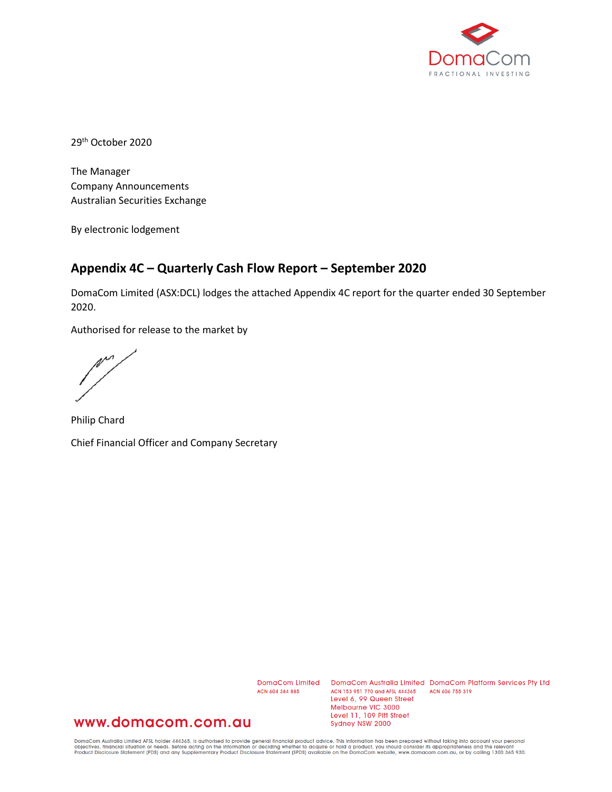

29th October 2020

The Manager Company Announcements Australian Securities Exchange

By electronic lodgement

## **Appendix 4C – Quarterly Cash Flow Report – September 2020**

DomaCom Limited (ASX:DCL) lodges the attached Appendix 4C report for the quarter ended 30 September 2020.

Authorised for release to the market by

m

Philip Chard Chief Financial Officer and Company Secretary

ACN 604 384 885

DomaCom Limited DomaCom Australia Limited DomaCom Platform Services Pty Ltd ACN 153 951 770 and AFSL 444365 ACN 606 755 319 Level 6, 99 Queen Street Melbourne VIC 3000 Level 11, 109 Pitt Street Sydney NSW 2000

## www.domacom.com.au

DomaCom Australia Limited AFSL holder 444365, is authorised to provide general financial product advice. This information has been prepared without taking into account your personal<br>objectives, financial situation or needs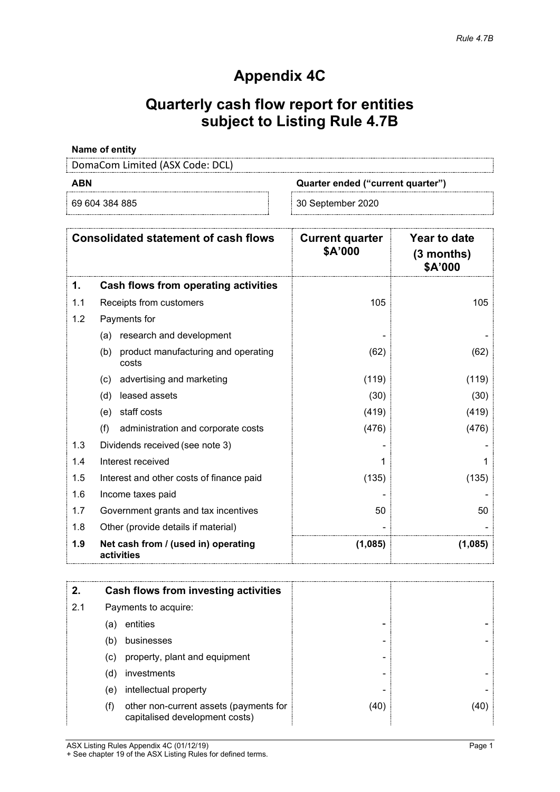## **Appendix 4C**

# **Quarterly cash flow report for entities subject to Listing Rule 4.7B**

### **Name of entity**

DomaCom Limited (ASX Code: DCL)

| -<br>I |  |
|--------|--|
|--------|--|

**ABN Quarter ended ("current quarter")**

69 604 384 885 30 September 2020

| <b>Consolidated statement of cash flows</b> |                                                     | <b>Current quarter</b><br>\$A'000 | Year to date<br>(3 months)<br>\$A'000 |
|---------------------------------------------|-----------------------------------------------------|-----------------------------------|---------------------------------------|
| 1.                                          | Cash flows from operating activities                |                                   |                                       |
| 1.1                                         | Receipts from customers                             | 105                               | 105                                   |
| 1.2                                         | Payments for                                        |                                   |                                       |
|                                             | research and development<br>(a)                     |                                   |                                       |
|                                             | product manufacturing and operating<br>(b)<br>costs | (62)                              | (62)                                  |
|                                             | advertising and marketing<br>(c)                    | (119)                             | (119)                                 |
|                                             | leased assets<br>(d)                                | (30)                              | (30)                                  |
|                                             | staff costs<br>(e)                                  | (419)                             | (419)                                 |
|                                             | (f)<br>administration and corporate costs           | (476)                             | (476)                                 |
| 1.3                                         | Dividends received (see note 3)                     |                                   |                                       |
| 1.4                                         | Interest received                                   |                                   |                                       |
| 1.5                                         | Interest and other costs of finance paid            | (135)                             | (135)                                 |
| 1.6                                         | Income taxes paid                                   |                                   |                                       |
| 1.7                                         | Government grants and tax incentives                | 50                                | 50                                    |
| 1.8                                         | Other (provide details if material)                 |                                   |                                       |
| 1.9                                         | Net cash from / (used in) operating<br>activities   | (1,085)                           | (1,085)                               |

| 2.  |     | Cash flows from investing activities                                     |      |  |
|-----|-----|--------------------------------------------------------------------------|------|--|
| 2.1 |     | Payments to acquire:                                                     |      |  |
|     | (a) | entities                                                                 |      |  |
|     | (b) | businesses                                                               |      |  |
|     | (c) | property, plant and equipment                                            |      |  |
|     | (d) | investments                                                              |      |  |
|     | (e) | intellectual property                                                    |      |  |
|     | (f) | other non-current assets (payments for<br>capitalised development costs) | (40) |  |

ASX Listing Rules Appendix 4C (01/12/19) Page 1 + See chapter 19 of the ASX Listing Rules for defined terms.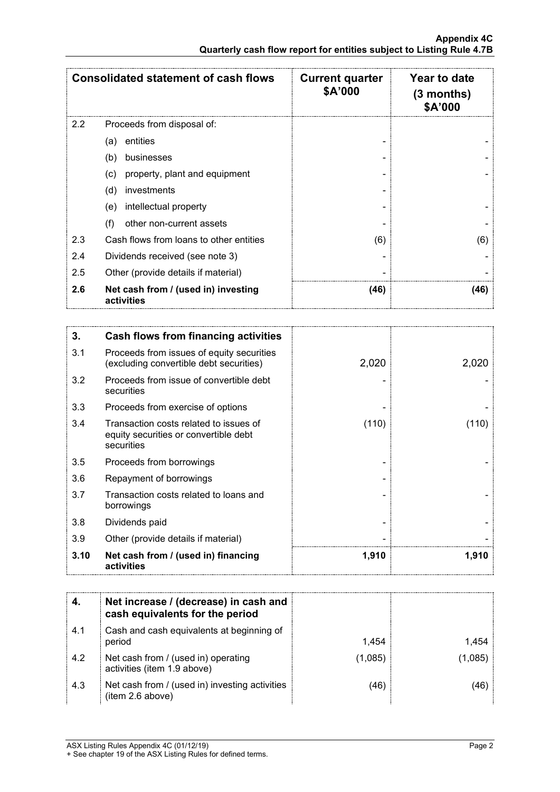|     | <b>Consolidated statement of cash flows</b>       | <b>Current quarter</b><br>\$A'000 | Year to date<br>$(3$ months)<br>\$A'000 |
|-----|---------------------------------------------------|-----------------------------------|-----------------------------------------|
| 2.2 | Proceeds from disposal of:                        |                                   |                                         |
|     | entities<br>(a)                                   |                                   |                                         |
|     | (b)<br>businesses                                 |                                   |                                         |
|     | property, plant and equipment<br>(c)              |                                   |                                         |
|     | (d)<br>investments                                |                                   |                                         |
|     | intellectual property<br>(e)                      |                                   |                                         |
|     | (f)<br>other non-current assets                   |                                   |                                         |
| 2.3 | Cash flows from loans to other entities           | (6)                               | (6)                                     |
| 2.4 | Dividends received (see note 3)                   |                                   |                                         |
| 2.5 | Other (provide details if material)               |                                   |                                         |
| 2.6 | Net cash from / (used in) investing<br>activities | (46)                              | (46)                                    |

| 3.   | Cash flows from financing activities                                                          |       |       |
|------|-----------------------------------------------------------------------------------------------|-------|-------|
| 3.1  | Proceeds from issues of equity securities<br>(excluding convertible debt securities)          | 2,020 | 2,020 |
| 3.2  | Proceeds from issue of convertible debt<br>securities                                         |       |       |
| 3.3  | Proceeds from exercise of options                                                             |       |       |
| 3.4  | Transaction costs related to issues of<br>equity securities or convertible debt<br>securities | (110) | (110) |
| 3.5  | Proceeds from borrowings                                                                      |       |       |
| 3.6  | Repayment of borrowings                                                                       |       |       |
| 3.7  | Transaction costs related to loans and<br>borrowings                                          |       |       |
| 3.8  | Dividends paid                                                                                |       |       |
| 3.9  | Other (provide details if material)                                                           |       |       |
| 3.10 | Net cash from / (used in) financing<br>activities                                             | 1,910 | 1,910 |

|     | Net increase / (decrease) in cash and<br>cash equivalents for the period |         |      |
|-----|--------------------------------------------------------------------------|---------|------|
| 4.1 | Cash and cash equivalents at beginning of<br>period                      | 1.454   |      |
| 4.2 | Net cash from / (used in) operating<br>activities (item 1.9 above)       | (1.085) | .085 |
| 4.3 | Net cash from / (used in) investing activities<br>(item 2.6 above)       | (46`    |      |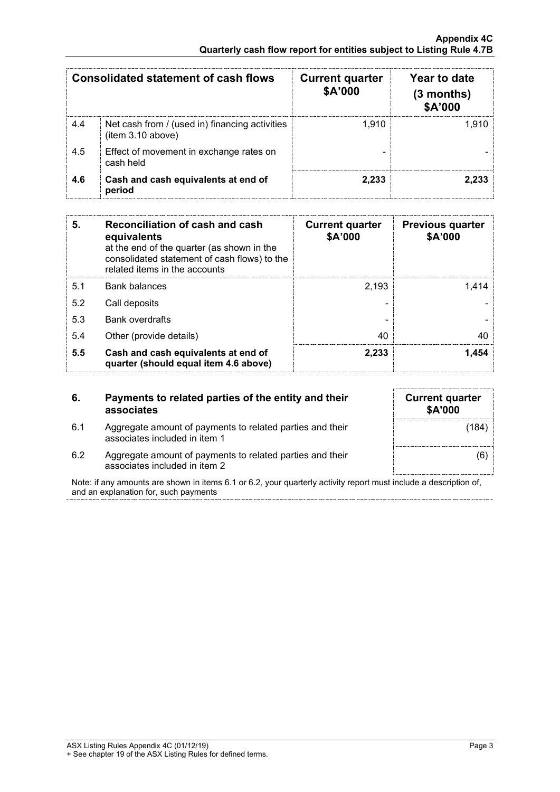|     | Consolidated statement of cash flows                                | <b>Current quarter</b><br>\$A'000 | Year to date<br>(3 months)<br>\$A'000 |
|-----|---------------------------------------------------------------------|-----------------------------------|---------------------------------------|
| 4.4 | Net cash from / (used in) financing activities<br>(item 3.10 above) | 1.910                             | 1.910                                 |
| 4.5 | Effect of movement in exchange rates on<br>cash held                |                                   |                                       |
| 4.6 | Cash and cash equivalents at end of<br>period                       | 2.233                             |                                       |

| 5.  | Reconciliation of cash and cash<br>equivalents<br>at the end of the quarter (as shown in the<br>consolidated statement of cash flows) to the<br>related items in the accounts | <b>Current quarter</b><br>\$A'000 | <b>Previous quarter</b><br>\$A'000 |
|-----|-------------------------------------------------------------------------------------------------------------------------------------------------------------------------------|-----------------------------------|------------------------------------|
| 5.1 | <b>Bank balances</b>                                                                                                                                                          | 2.193                             | 1414                               |
| 5.2 | Call deposits                                                                                                                                                                 |                                   |                                    |
| 5.3 | <b>Bank overdrafts</b>                                                                                                                                                        |                                   |                                    |
| 5.4 | Other (provide details)                                                                                                                                                       | 40                                |                                    |
| 5.5 | Cash and cash equivalents at end of<br>quarter (should equal item 4.6 above)                                                                                                  | 2.233                             |                                    |

| 6.  | Payments to related parties of the entity and their<br>associates |
|-----|-------------------------------------------------------------------|
| 6.1 | Aggregate amount of payments to related parties and their         |

| <b>Current quarter</b><br>\$A'000 |
|-----------------------------------|
| (184)                             |
| (6)                               |

6.2 Aggregate amount of payments to related parties and their associates included in item 2

associates included in item 1

Note: if any amounts are shown in items 6.1 or 6.2, your quarterly activity report must include a description of, and an explanation for, such payments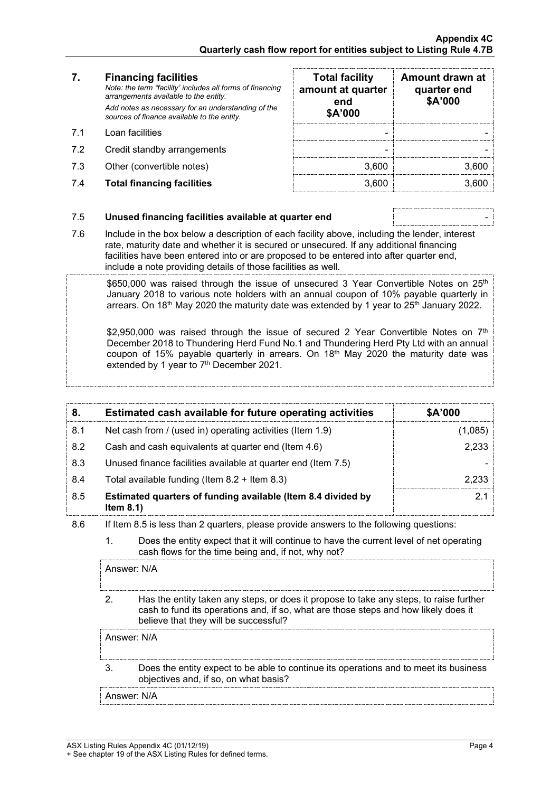### **7. Financing facilities**

- 
- 7.2 Credit standby arrangements
- 7.3 Other (convertible notes)
- 7.4 **Total financing facilities** 3,600 3,600

| 7.  | <b>Financing facilities</b><br>Note: the term "facility' includes all forms of financing<br>arrangements available to the entity. | <b>Total facility</b><br>amount at quarter<br>end | Amount drawn at<br>quarter end<br>\$A'000 |
|-----|-----------------------------------------------------------------------------------------------------------------------------------|---------------------------------------------------|-------------------------------------------|
|     | Add notes as necessary for an understanding of the<br>sources of finance available to the entity.                                 | \$A'000                                           |                                           |
| 71  | Loan facilities                                                                                                                   |                                                   |                                           |
| 7.2 | Credit standby arrangements                                                                                                       |                                                   |                                           |
| 7.3 | Other (convertible notes)                                                                                                         | 3.600                                             | 3.600                                     |
| 7.4 | <b>Total financing facilities</b>                                                                                                 | 3.600                                             |                                           |

#### 7.5 **Unused financing facilities available at quarter end** -

7.6 Include in the box below a description of each facility above, including the lender, interest rate, maturity date and whether it is secured or unsecured. If any additional financing facilities have been entered into or are proposed to be entered into after quarter end, include a note providing details of those facilities as well.

 $$650,000$  was raised through the issue of unsecured 3 Year Convertible Notes on  $25<sup>th</sup>$ January 2018 to various note holders with an annual coupon of 10% payable quarterly in arrears. On 18<sup>th</sup> May 2020 the maturity date was extended by 1 year to  $25<sup>th</sup>$  January 2022.

\$2,950,000 was raised through the issue of secured 2 Year Convertible Notes on  $7<sup>th</sup>$ December 2018 to Thundering Herd Fund No.1 and Thundering Herd Pty Ltd with an annual coupon of 15% payable quarterly in arrears. On 18<sup>th</sup> May 2020 the maturity date was extended by 1 year to 7<sup>th</sup> December 2021.

|     | Estimated cash available for future operating activities                     | \$A'000 |
|-----|------------------------------------------------------------------------------|---------|
| 8.1 | Net cash from / (used in) operating activities (Item 1.9)                    | 1,085   |
| 8.2 | Cash and cash equivalents at quarter end (Item 4.6)                          | 2.233   |
| 8.3 | Unused finance facilities available at quarter end (Item 7.5)                |         |
| 8.4 | Total available funding (Item $8.2 +$ Item $8.3$ )                           | 2 233   |
| 8.5 | Estimated quarters of funding available (Item 8.4 divided by<br>Item $8.1$ ) |         |

- 8.6 If Item 8.5 is less than 2 quarters, please provide answers to the following questions:
	- 1. Does the entity expect that it will continue to have the current level of net operating cash flows for the time being and, if not, why not?

Answer: N/A

2. Has the entity taken any steps, or does it propose to take any steps, to raise further cash to fund its operations and, if so, what are those steps and how likely does it believe that they will be successful?

Answer: N/A

3. Does the entity expect to be able to continue its operations and to meet its business objectives and, if so, on what basis?

Answer: N/A